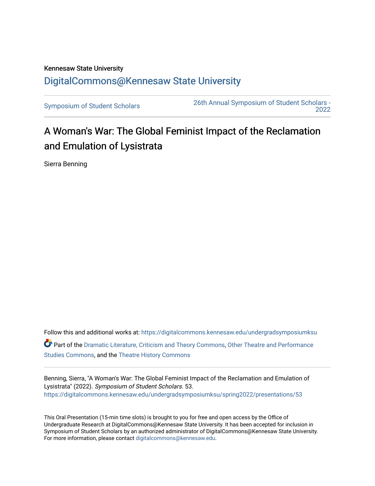## Kennesaw State University [DigitalCommons@Kennesaw State University](https://digitalcommons.kennesaw.edu/)

[Symposium of Student Scholars](https://digitalcommons.kennesaw.edu/undergradsymposiumksu) [26th Annual Symposium of Student Scholars -](https://digitalcommons.kennesaw.edu/undergradsymposiumksu/spring2022)  [2022](https://digitalcommons.kennesaw.edu/undergradsymposiumksu/spring2022) 

## A Woman's War: The Global Feminist Impact of the Reclamation and Emulation of Lysistrata

Sierra Benning

Follow this and additional works at: [https://digitalcommons.kennesaw.edu/undergradsymposiumksu](https://digitalcommons.kennesaw.edu/undergradsymposiumksu?utm_source=digitalcommons.kennesaw.edu%2Fundergradsymposiumksu%2Fspring2022%2Fpresentations%2F53&utm_medium=PDF&utm_campaign=PDFCoverPages)  Part of the [Dramatic Literature, Criticism and Theory Commons](http://network.bepress.com/hgg/discipline/555?utm_source=digitalcommons.kennesaw.edu%2Fundergradsymposiumksu%2Fspring2022%2Fpresentations%2F53&utm_medium=PDF&utm_campaign=PDFCoverPages), [Other Theatre and Performance](http://network.bepress.com/hgg/discipline/558?utm_source=digitalcommons.kennesaw.edu%2Fundergradsymposiumksu%2Fspring2022%2Fpresentations%2F53&utm_medium=PDF&utm_campaign=PDFCoverPages)  [Studies Commons,](http://network.bepress.com/hgg/discipline/558?utm_source=digitalcommons.kennesaw.edu%2Fundergradsymposiumksu%2Fspring2022%2Fpresentations%2F53&utm_medium=PDF&utm_campaign=PDFCoverPages) and the [Theatre History Commons](http://network.bepress.com/hgg/discipline/553?utm_source=digitalcommons.kennesaw.edu%2Fundergradsymposiumksu%2Fspring2022%2Fpresentations%2F53&utm_medium=PDF&utm_campaign=PDFCoverPages) 

Benning, Sierra, "A Woman's War: The Global Feminist Impact of the Reclamation and Emulation of Lysistrata" (2022). Symposium of Student Scholars. 53. [https://digitalcommons.kennesaw.edu/undergradsymposiumksu/spring2022/presentations/53](https://digitalcommons.kennesaw.edu/undergradsymposiumksu/spring2022/presentations/53?utm_source=digitalcommons.kennesaw.edu%2Fundergradsymposiumksu%2Fspring2022%2Fpresentations%2F53&utm_medium=PDF&utm_campaign=PDFCoverPages) 

This Oral Presentation (15-min time slots) is brought to you for free and open access by the Office of Undergraduate Research at DigitalCommons@Kennesaw State University. It has been accepted for inclusion in Symposium of Student Scholars by an authorized administrator of DigitalCommons@Kennesaw State University. For more information, please contact [digitalcommons@kennesaw.edu.](mailto:digitalcommons@kennesaw.edu)